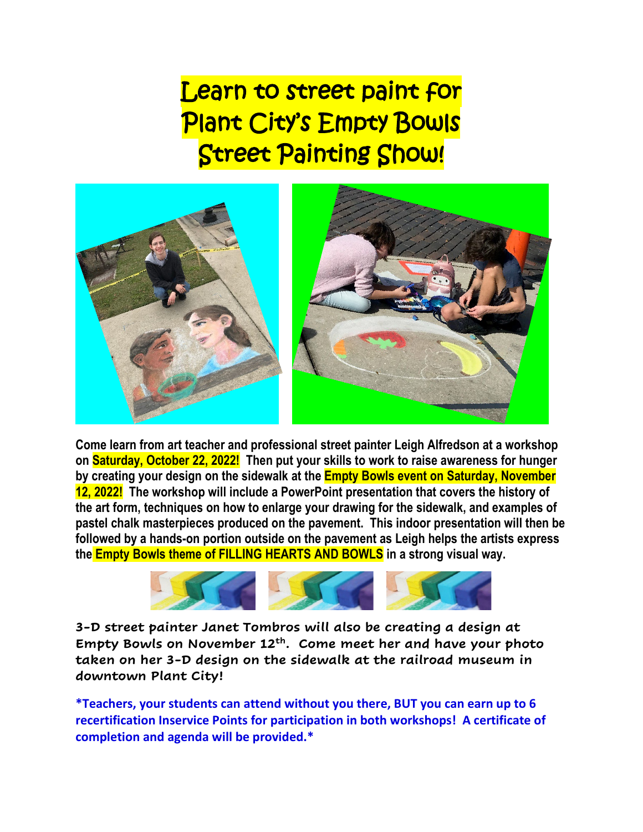Learn to street paint for Plant City's Empty Bowls Street Painting Show!



**Come learn from art teacher and professional street painter Leigh Alfredson at a workshop on Saturday, October 22, 2022! Then put your skills to work to raise awareness for hunger by creating your design on the sidewalk at the Empty Bowls event on Saturday, November 12, 2022! The workshop will include a PowerPoint presentation that covers the history of the art form, techniques on how to enlarge your drawing for the sidewalk, and examples of pastel chalk masterpieces produced on the pavement. This indoor presentation will then be followed by a hands-on portion outside on the pavement as Leigh helps the artists express the Empty Bowls theme of FILLING HEARTS AND BOWLS in a strong visual way.** 



**3-D street painter Janet Tombros will also be creating a design at Empty Bowls on November 12th. Come meet her and have your photo taken on her 3-D design on the sidewalk at the railroad museum in downtown Plant City!** 

**\*Teachers, your students can attend without you there, BUT you can earn up to 6 recertification Inservice Points for participation in both workshops! A certificate of completion and agenda will be provided.\***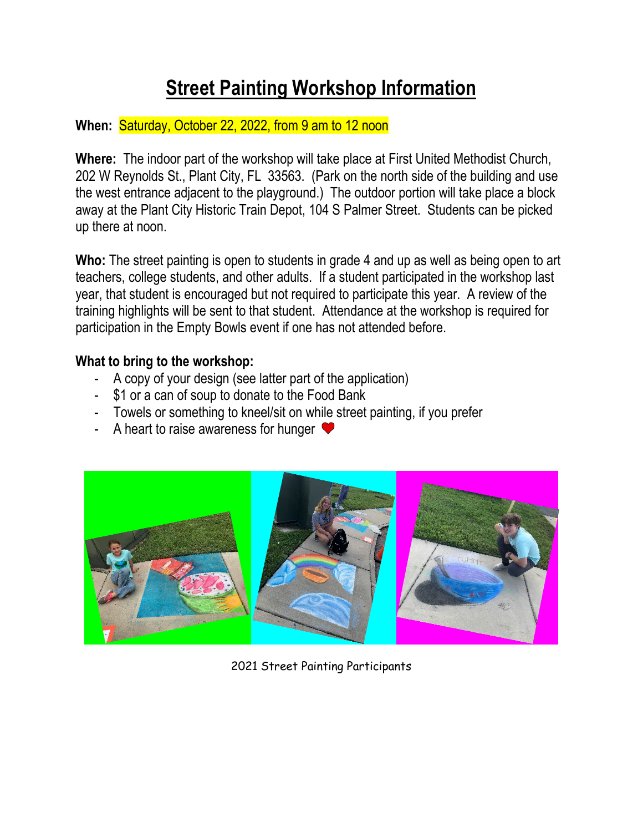# **Street Painting Workshop Information**

### **When:** Saturday, October 22, 2022, from 9 am to 12 noon

**Where:** The indoor part of the workshop will take place at First United Methodist Church, 202 W Reynolds St., Plant City, FL 33563. (Park on the north side of the building and use the west entrance adjacent to the playground.) The outdoor portion will take place a block away at the Plant City Historic Train Depot, 104 S Palmer Street. Students can be picked up there at noon.

**Who:** The street painting is open to students in grade 4 and up as well as being open to art teachers, college students, and other adults. If a student participated in the workshop last year, that student is encouraged but not required to participate this year. A review of the training highlights will be sent to that student. Attendance at the workshop is required for participation in the Empty Bowls event if one has not attended before.

### **What to bring to the workshop:**

- A copy of your design (see latter part of the application)
- \$1 or a can of soup to donate to the Food Bank
- Towels or something to kneel/sit on while street painting, if you prefer
- A heart to raise awareness for hunger  $\blacktriangledown$



2021 Street Painting Participants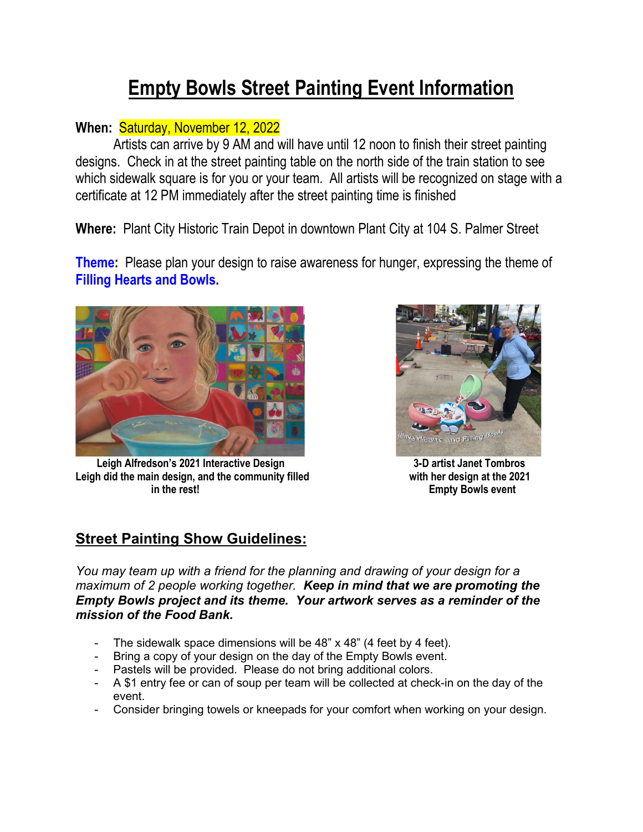# **Empty Bowls Street Painting Event Information**

### **When:** Saturday, November 12, 2022

Artists can arrive by 9 AM and will have until 12 noon to finish their street painting designs. Check in at the street painting table on the north side of the train station to see which sidewalk square is for you or your team. All artists will be recognized on stage with a certificate at 12 PM immediately after the street painting time is finished

**Where:** Plant City Historic Train Depot in downtown Plant City at 104 S. Palmer Street

**Theme:** Please plan your design to raise awareness for hunger, expressing the theme of **Filling Hearts and Bowls.** 



 **Leigh Alfredson's 2021 Interactive Design 3-D artist Janet Tombros** Leigh did the main design, and the community filled with her design at the 2021  **in the rest! Empty Bowls event**



## **Street Painting Show Guidelines:**

*You may team up with a friend for the planning and drawing of your design for a maximum of 2 people working together. Keep in mind that we are promoting the Empty Bowls project and its theme. Your artwork serves as a reminder of the mission of the Food Bank.*

- The sidewalk space dimensions will be 48" x 48" (4 feet by 4 feet).
- Bring a copy of your design on the day of the Empty Bowls event.
- Pastels will be provided. Please do not bring additional colors.
- A \$1 entry fee or can of soup per team will be collected at check-in on the day of the event.
- Consider bringing towels or kneepads for your comfort when working on your design.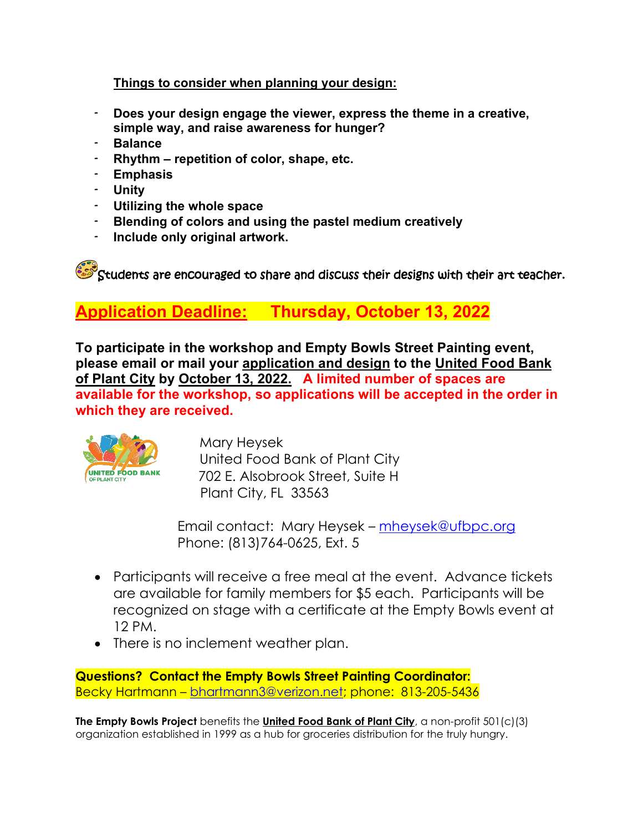#### **Things to consider when planning your design:**

- **Does your design engage the viewer, express the theme in a creative, simple way, and raise awareness for hunger?**
- **Balance**
- **Rhythm repetition of color, shape, etc.**
- **Emphasis**
- **Unity**
- **Utilizing the whole space**
- **Blending of colors and using the pastel medium creatively**
- **Include only original artwork.**

 $\mathcal{S}$  Students are encouraged to share and discuss their designs with their art teacher.

# **Application Deadline: Thursday, October 13, 2022**

**To participate in the workshop and Empty Bowls Street Painting event, please email or mail your application and design to the United Food Bank of Plant City by October 13, 2022. A limited number of spaces are available for the workshop, so applications will be accepted in the order in which they are received.**



 Mary Heysek United Food Bank of Plant City 702 E. Alsobrook Street, Suite H Plant City, FL 33563

 Email contact: Mary Heysek – [mheysek@ufbpc.org](mailto:mheysek@ufbpc.org)  Phone: (813)764-0625, Ext. 5

- Participants will receive a free meal at the event. Advance tickets are available for family members for \$5 each. Participants will be recognized on stage with a certificate at the Empty Bowls event at 12 PM.
- There is no inclement weather plan.

**Questions? Contact the Empty Bowls Street Painting Coordinator:**  Becky Hartmann – [bhartmann3@verizon.net;](mailto:bhartmann3@verizon.net) phone: 813-205-5436

**The Empty Bowls Project** benefits the **United Food Bank of Plant City**, a non-profit 501(c)(3) organization established in 1999 as a hub for groceries distribution for the truly hungry.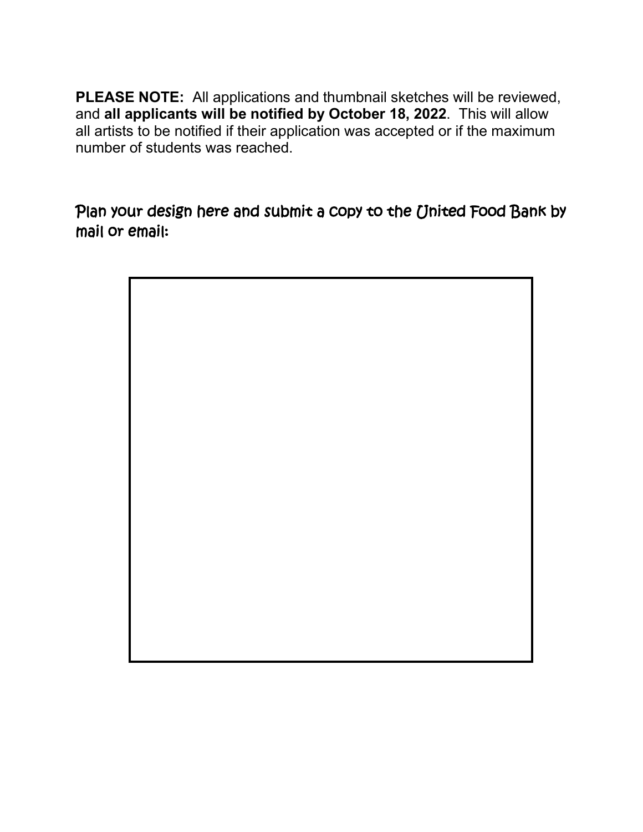**PLEASE NOTE:** All applications and thumbnail sketches will be reviewed, and **all applicants will be notified by October 18, 2022**. This will allow all artists to be notified if their application was accepted or if the maximum number of students was reached.

Plan your design here and submit a copy to the United Food Bank by mail or email:

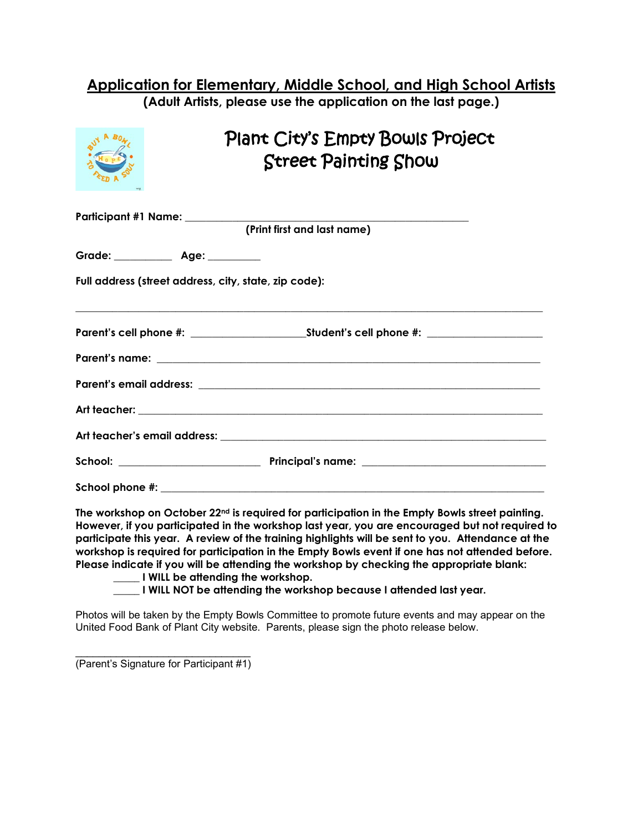#### **Application for Elementary, Middle School, and High School Artists (Adult Artists, please use the application on the last page.)**

Plant City's Empty Bowls Project Street Painting Show **Participant #1 Name: \_\_\_\_\_\_\_\_\_\_\_\_\_\_\_\_\_\_\_\_\_\_\_\_\_\_\_\_\_\_\_\_\_\_\_\_\_\_\_\_\_\_\_\_\_\_\_\_\_\_\_\_\_\_ (Print first and last name)** Grade: **Age:**  $\qquad$ 

**Full address (street address, city, state, zip code):** 

**\_\_\_\_\_\_\_\_\_\_\_\_\_\_\_\_\_\_\_\_\_\_\_\_\_\_\_\_\_\_\_\_\_\_\_\_\_\_\_\_\_\_\_\_\_\_\_\_\_\_\_\_\_\_\_\_\_\_\_\_\_\_\_\_\_\_\_\_\_\_\_\_\_\_\_\_\_\_\_\_\_\_\_\_\_\_\_\_\_**

**The workshop on October 22nd is required for participation in the Empty Bowls street painting. However, if you participated in the workshop last year, you are encouraged but not required to participate this year. A review of the training highlights will be sent to you. Attendance at the workshop is required for participation in the Empty Bowls event if one has not attended before. Please indicate if you will be attending the workshop by checking the appropriate blank:**

**\_\_\_\_\_ I WILL be attending the workshop.**

**\_\_\_\_\_ I WILL NOT be attending the workshop because I attended last year.**

Photos will be taken by the Empty Bowls Committee to promote future events and may appear on the United Food Bank of Plant City website. Parents, please sign the photo release below.

\_\_\_\_\_\_\_\_\_\_\_\_\_\_\_\_\_\_\_\_\_\_\_\_\_\_\_\_\_\_ (Parent's Signature for Participant #1)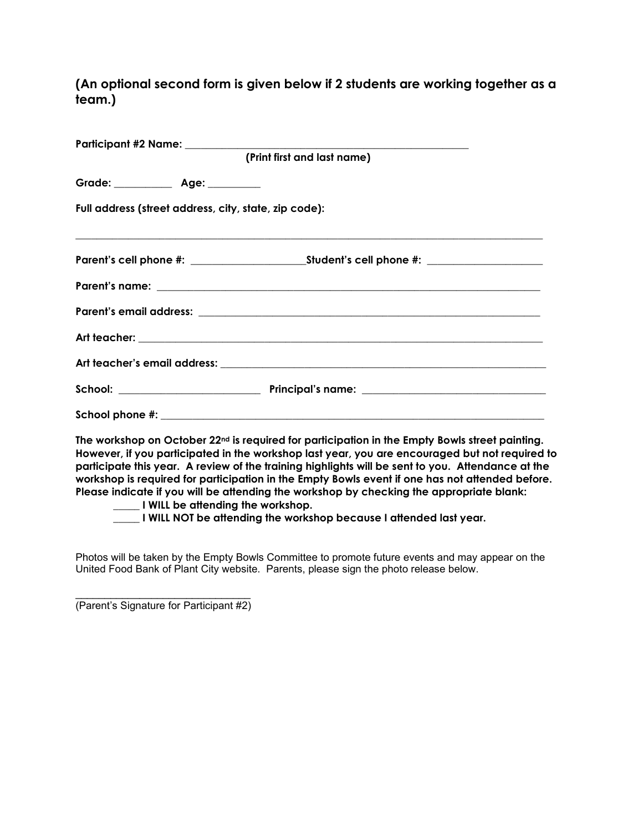**(An optional second form is given below if 2 students are working together as a team.)**

|                                                       | (Print first and last name) |
|-------------------------------------------------------|-----------------------------|
| Grade: _____________ Age: _________                   |                             |
| Full address (street address, city, state, zip code): |                             |
|                                                       |                             |
|                                                       |                             |
|                                                       |                             |
|                                                       |                             |
|                                                       |                             |
|                                                       |                             |
|                                                       |                             |

**The workshop on October 22nd is required for participation in the Empty Bowls street painting. However, if you participated in the workshop last year, you are encouraged but not required to participate this year. A review of the training highlights will be sent to you. Attendance at the workshop is required for participation in the Empty Bowls event if one has not attended before. Please indicate if you will be attending the workshop by checking the appropriate blank:**

**\_\_\_\_\_ I WILL be attending the workshop.**

**\_\_\_\_\_ I WILL NOT be attending the workshop because I attended last year.**

Photos will be taken by the Empty Bowls Committee to promote future events and may appear on the United Food Bank of Plant City website. Parents, please sign the photo release below.

\_\_\_\_\_\_\_\_\_\_\_\_\_\_\_\_\_\_\_\_\_\_\_\_\_\_\_\_\_\_ (Parent's Signature for Participant #2)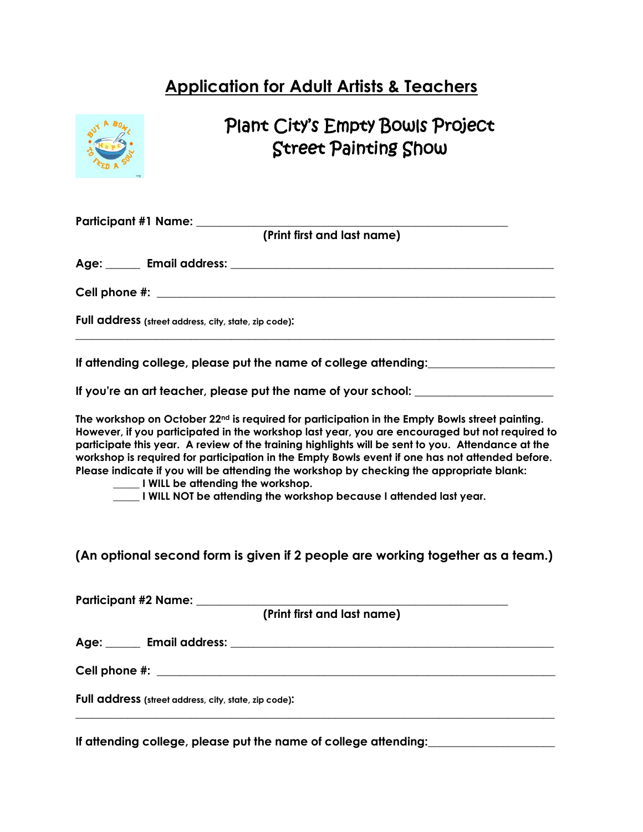# **Application for Adult Artists & Teachers**



# Plant City's Empty Bowls Project Street Painting Show

| Participant #1 Name: ___________<br>(Print first and last name)                                                                                                                                                                                                                                                                                                                                                                                                                                                                                                                                                            |
|----------------------------------------------------------------------------------------------------------------------------------------------------------------------------------------------------------------------------------------------------------------------------------------------------------------------------------------------------------------------------------------------------------------------------------------------------------------------------------------------------------------------------------------------------------------------------------------------------------------------------|
|                                                                                                                                                                                                                                                                                                                                                                                                                                                                                                                                                                                                                            |
|                                                                                                                                                                                                                                                                                                                                                                                                                                                                                                                                                                                                                            |
| Full address (street address, city, state, zip code):                                                                                                                                                                                                                                                                                                                                                                                                                                                                                                                                                                      |
| If attending college, please put the name of college attending:                                                                                                                                                                                                                                                                                                                                                                                                                                                                                                                                                            |
| If you're an art teacher, please put the name of your school: __________________                                                                                                                                                                                                                                                                                                                                                                                                                                                                                                                                           |
| The workshop on October 22 <sup>nd</sup> is required for participation in the Empty Bowls street painting.<br>However, if you participated in the workshop last year, you are encouraged but not required to<br>participate this year. A review of the training highlights will be sent to you. Attendance at the<br>workshop is required for participation in the Empty Bowls event if one has not attended before.<br>Please indicate if you will be attending the workshop by checking the appropriate blank:<br>UWILL be attending the workshop.<br>I WILL NOT be attending the workshop because I attended last year. |
| (An optional second form is given if 2 people are working together as a team.)                                                                                                                                                                                                                                                                                                                                                                                                                                                                                                                                             |
| Participant #2 Name: ________<br>(Print first and last name)                                                                                                                                                                                                                                                                                                                                                                                                                                                                                                                                                               |
|                                                                                                                                                                                                                                                                                                                                                                                                                                                                                                                                                                                                                            |
|                                                                                                                                                                                                                                                                                                                                                                                                                                                                                                                                                                                                                            |
| Full address (street address, city, state, zip code):                                                                                                                                                                                                                                                                                                                                                                                                                                                                                                                                                                      |

**\_\_\_\_\_\_\_\_\_\_\_\_\_\_\_\_\_\_\_\_\_\_\_\_\_\_\_\_\_\_\_\_\_\_\_\_\_\_\_\_\_\_\_\_\_\_\_\_\_\_\_\_\_\_\_\_\_\_\_\_\_\_\_\_\_\_\_\_\_\_\_\_\_\_\_\_\_\_\_\_\_\_\_** 

If attending college, please put the name of college attending: